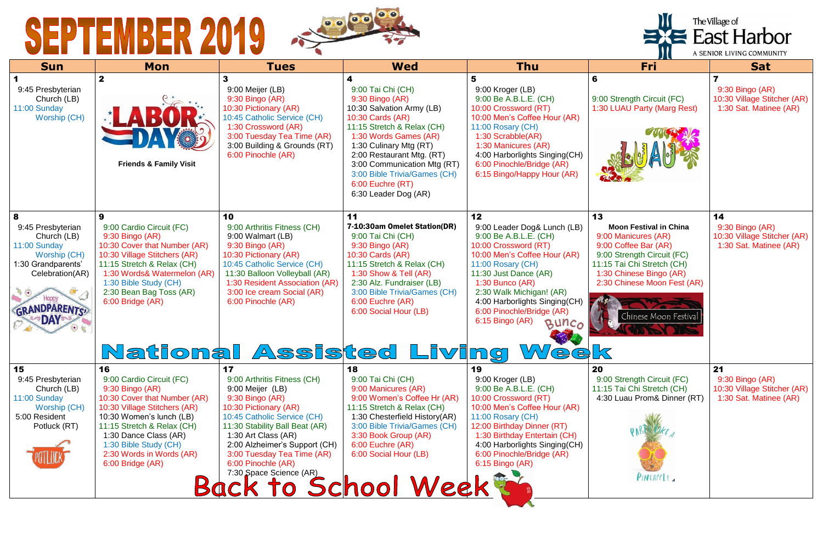

| <b>Sun</b>                                                                                                                                                                  | <b>Mon</b>                                                                                                                                                                                                                                                                    | <b>Tues</b>                                                                                                                                                                                                                                                                                                                      | <b>Wed</b>                                                                                                                                                                                                                                                                                                          | <b>Thu</b>                                                                                                                                                                                                                                                                                                          | Fri                                                                                                                                                                                                                               | <b>Sat</b>                                                                     |
|-----------------------------------------------------------------------------------------------------------------------------------------------------------------------------|-------------------------------------------------------------------------------------------------------------------------------------------------------------------------------------------------------------------------------------------------------------------------------|----------------------------------------------------------------------------------------------------------------------------------------------------------------------------------------------------------------------------------------------------------------------------------------------------------------------------------|---------------------------------------------------------------------------------------------------------------------------------------------------------------------------------------------------------------------------------------------------------------------------------------------------------------------|---------------------------------------------------------------------------------------------------------------------------------------------------------------------------------------------------------------------------------------------------------------------------------------------------------------------|-----------------------------------------------------------------------------------------------------------------------------------------------------------------------------------------------------------------------------------|--------------------------------------------------------------------------------|
| 9:45 Presbyterian<br>Church (LB)<br>11:00 Sunday<br><b>Worship (CH)</b>                                                                                                     | $\mathbf{2}$<br><b>Friends &amp; Family Visit</b>                                                                                                                                                                                                                             | 3<br>9:00 Meijer (LB)<br>9:30 Bingo (AR)<br>10:30 Pictionary (AR)<br>10:45 Catholic Service (CH)<br>1:30 Crossword (AR)<br>3:00 Tuesday Tea Time (AR)<br>3:00 Building & Grounds (RT)<br>6:00 Pinochle (AR)                                                                                                                      | 4<br>9:00 Tai Chi (CH)<br>9:30 Bingo (AR)<br>10:30 Salvation Army (LB)<br>10:30 Cards (AR)<br>11:15 Stretch & Relax (CH)<br>1:30 Words Games (AR)<br>1:30 Culinary Mtg (RT)<br>2:00 Restaurant Mtg. (RT)<br>3:00 Communication Mtg (RT)<br>3:00 Bible Trivia/Games (CH)<br>6:00 Euchre (RT)<br>6:30 Leader Dog (AR) | 5<br>9:00 Kroger (LB)<br>9:00 Be A.B.L.E. (CH)<br>10:00 Crossword (RT)<br>10:00 Men's Coffee Hour (AR)<br>11:00 Rosary (CH)<br>1:30 Scrabble(AR)<br>1:30 Manicures (AR)<br>4:00 Harborlights Singing(CH)<br>6:00 Pinochle/Bridge (AR)<br>6:15 Bingo/Happy Hour (AR)                                                 | 6<br>9:00 Strength Circuit (FC)<br>1:30 LUAU Party (Marg Rest)                                                                                                                                                                    | 7<br>9:30 Bingo (AR)<br>10:30 Village Stitcher (AR)<br>1:30 Sat. Matinee (AR)  |
| 8<br>9:45 Presbyterian<br>Church (LB)<br>11:00 Sunday<br><b>Worship (CH)</b><br>1:30 Grandparents'<br>Celebration(AR)<br><b>Happy</b><br><b>GRANDPARENTS</b><br><b>DAY®</b> | 9<br>9:00 Cardio Circuit (FC)<br>$9:30$ Bingo (AR)<br>10:30 Cover that Number (AR)<br>10:30 Village Stitchers (AR)<br>11:15 Stretch & Relax (CH)<br>1:30 Words& Watermelon (AR)<br>1:30 Bible Study (CH)<br>2:30 Bean Bag Toss (AR)<br>6:00 Bridge (AR)                       | 10<br>9:00 Arthritis Fitness (CH)<br>9:00 Walmart (LB)<br>9:30 Bingo (AR)<br>10:30 Pictionary (AR)<br>10:45 Catholic Service (CH)<br>11:30 Balloon Volleyball (AR)<br>1:30 Resident Association (AR)<br>3:00 Ice cream Social (AR)<br>6:00 Pinochle (AR)<br>National Assisted Living                                             | 11<br>7-10:30am Omelet Station(DR)<br>9:00 Tai Chi (CH)<br>9:30 Bingo (AR)<br>10:30 Cards (AR)<br>11:15 Stretch & Relax (CH)<br>1:30 Show & Tell (AR)<br>2:30 Alz. Fundraiser (LB)<br>3:00 Bible Trivia/Games (CH)<br>6:00 Euchre (AR)<br>6:00 Social Hour (LB)                                                     | 12<br>9:00 Leader Dog& Lunch (LB)<br>9:00 Be A.B.L.E. (CH)<br>10:00 Crossword (RT)<br>10:00 Men's Coffee Hour (AR)<br>11:00 Rosary (CH)<br>11:30 Just Dance (AR)<br>$1:30$ Bunco (AR)<br>2:30 Walk Michigan! (AR)<br>4:00 Harborlights Singing(CH)<br>6:00 Pinochle/Bridge (AR)<br>6:15 Bingo (AR)<br>BUNCO<br>Week | 13<br><b>Moon Festival in China</b><br>9:00 Manicures (AR)<br>9:00 Coffee Bar (AR)<br>9:00 Strength Circuit (FC)<br>11:15 Tai Chi Stretch (CH)<br>1:30 Chinese Bingo (AR)<br>2:30 Chinese Moon Fest (AR)<br>Chinese Moon Festival | 14<br>9:30 Bingo (AR)<br>10:30 Village Stitcher (AR)<br>1:30 Sat. Matinee (AR) |
| 15<br>9:45 Presbyterian<br>Church (LB)<br>11:00 Sunday<br>Worship (CH)<br>5:00 Resident<br>Potluck (RT)                                                                     | 16<br>9:00 Cardio Circuit (FC)<br>9:30 Bingo (AR)<br>10:30 Cover that Number (AR)<br>10:30 Village Stitchers (AR)<br>10:30 Women's lunch (LB)<br>11:15 Stretch & Relax (CH)<br>1:30 Dance Class (AR)<br>1:30 Bible Study (CH)<br>2:30 Words in Words (AR)<br>6:00 Bridge (AR) | 17<br>9:00 Arthritis Fitness (CH)<br>9:00 Meijer (LB)<br>9:30 Bingo (AR)<br>10:30 Pictionary (AR)<br>10:45 Catholic Service (CH)<br>11:30 Stability Ball Beat (AR)<br>1:30 Art Class (AR)<br>2:00 Alzheimer's Support (CH)<br>3:00 Tuesday Tea Time (AR)<br>6:00 Pinochle (AR)<br>7:30 Space Science (AR)<br>Back to School Week | 18<br>9:00 Tai Chi (CH)<br>9:00 Manicures (AR)<br>9:00 Women's Coffee Hr (AR)<br>11:15 Stretch & Relax (CH)<br>1:30 Chesterfield History(AR)<br>3:00 Bible Trivia/Games (CH)<br>3:30 Book Group (AR)<br>6:00 Euchre (AR)<br>6:00 Social Hour (LB)                                                                   | 19<br>9:00 Kroger (LB)<br>9:00 Be A.B.L.E. (CH)<br>10:00 Crossword (RT)<br>10:00 Men's Coffee Hour (AR)<br>11:00 Rosary (CH)<br>12:00 Birthday Dinner (RT)<br>1:30 Birthday Entertain (CH)<br>4:00 Harborlights Singing(CH)<br>6:00 Pinochle/Bridge (AR)<br>6:15 Bingo (AR)                                         | 20<br>9:00 Strength Circuit (FC)<br>11:15 Tai Chi Stretch (CH)<br>4:30 Luau Prom& Dinner (RT)<br>PINEAPPLE                                                                                                                        | 21<br>9:30 Bingo (AR)<br>10:30 Village Stitcher (AR)<br>1:30 Sat. Matinee (AR) |

The Village of<br>
East Harbor

A SENIOR LIVING COMMUNITY